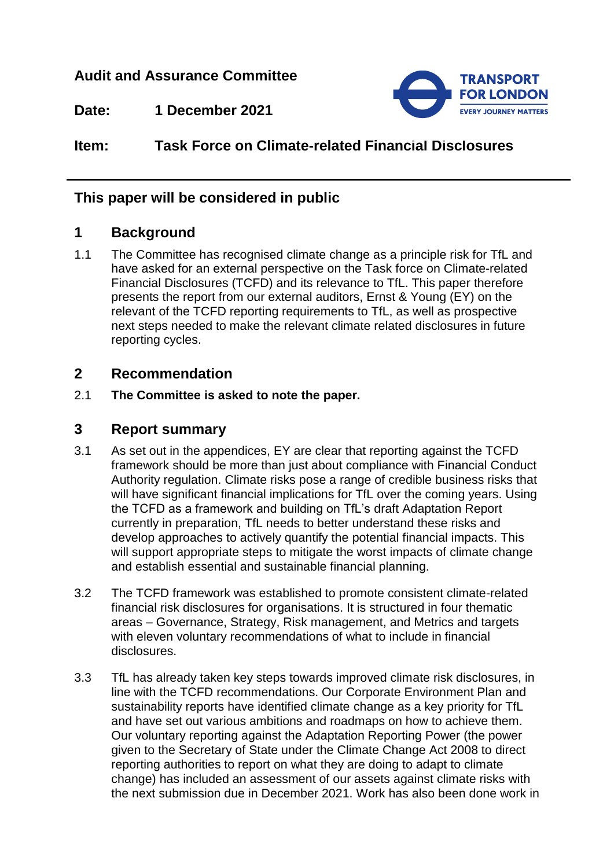## **Audit and Assurance Committee**



**Date: 1 December 2021**

# **Item: Task Force on Climate-related Financial Disclosures**

## **This paper will be considered in public**

## **1 Background**

1.1 The Committee has recognised climate change as a principle risk for TfL and have asked for an external perspective on the Task force on Climate-related Financial Disclosures (TCFD) and its relevance to TfL. This paper therefore presents the report from our external auditors, Ernst & Young (EY) on the relevant of the TCFD reporting requirements to TfL, as well as prospective next steps needed to make the relevant climate related disclosures in future reporting cycles.

### **2 Recommendation**

2.1 **The Committee is asked to note the paper.**

#### **3 Report summary**

- 3.1 As set out in the appendices, EY are clear that reporting against the TCFD framework should be more than just about compliance with Financial Conduct Authority regulation. Climate risks pose a range of credible business risks that will have significant financial implications for TfL over the coming years. Using the TCFD as a framework and building on TfL's draft Adaptation Report currently in preparation, TfL needs to better understand these risks and develop approaches to actively quantify the potential financial impacts. This will support appropriate steps to mitigate the worst impacts of climate change and establish essential and sustainable financial planning.
- 3.2 The TCFD framework was established to promote consistent climate-related financial risk disclosures for organisations. It is structured in four thematic areas – Governance, Strategy, Risk management, and Metrics and targets with eleven voluntary recommendations of what to include in financial disclosures.
- 3.3 TfL has already taken key steps towards improved climate risk disclosures, in line with the TCFD recommendations. Our Corporate Environment Plan and sustainability reports have identified climate change as a key priority for TfL and have set out various ambitions and roadmaps on how to achieve them. Our voluntary reporting against the Adaptation Reporting Power (the power given to the Secretary of State under the Climate Change Act 2008 to direct reporting authorities to report on what they are doing to adapt to climate change) has included an assessment of our assets against climate risks with the next submission due in December 2021. Work has also been done work in